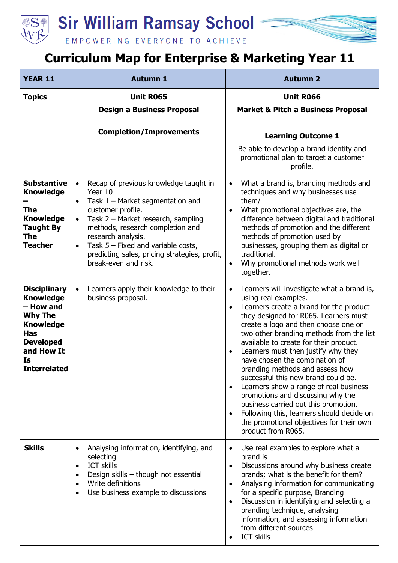**Sir William Ramsay School** 



## EMPOWERING EVERYONE TO ACHIEVE

## **Curriculum Map for Enterprise & Marketing Year 11**

| <b>YEAR 11</b>                                                                                                                                                          | <b>Autumn 1</b>                                                                                                                                                                                                                                                                                                                                                                  | <b>Autumn 2</b>                                                                                                                                                                                                                                                                                                                                                                                                                                                                                                                                                                                                                                                                                                                                |
|-------------------------------------------------------------------------------------------------------------------------------------------------------------------------|----------------------------------------------------------------------------------------------------------------------------------------------------------------------------------------------------------------------------------------------------------------------------------------------------------------------------------------------------------------------------------|------------------------------------------------------------------------------------------------------------------------------------------------------------------------------------------------------------------------------------------------------------------------------------------------------------------------------------------------------------------------------------------------------------------------------------------------------------------------------------------------------------------------------------------------------------------------------------------------------------------------------------------------------------------------------------------------------------------------------------------------|
| <b>Topics</b>                                                                                                                                                           | <b>Unit R065</b><br><b>Design a Business Proposal</b>                                                                                                                                                                                                                                                                                                                            | <b>Unit R066</b><br><b>Market &amp; Pitch a Business Proposal</b>                                                                                                                                                                                                                                                                                                                                                                                                                                                                                                                                                                                                                                                                              |
|                                                                                                                                                                         | <b>Completion/Improvements</b>                                                                                                                                                                                                                                                                                                                                                   | <b>Learning Outcome 1</b><br>Be able to develop a brand identity and<br>promotional plan to target a customer<br>profile.                                                                                                                                                                                                                                                                                                                                                                                                                                                                                                                                                                                                                      |
| <b>Substantive</b><br><b>Knowledge</b><br>The<br><b>Knowledge</b><br><b>Taught By</b><br><b>The</b><br><b>Teacher</b>                                                   | Recap of previous knowledge taught in<br>$\bullet$<br>Year 10<br>Task $1$ – Market segmentation and<br>$\bullet$<br>customer profile.<br>Task 2 - Market research, sampling<br>$\bullet$<br>methods, research completion and<br>research analysis.<br>Task $5$ – Fixed and variable costs,<br>$\bullet$<br>predicting sales, pricing strategies, profit,<br>break-even and risk. | What a brand is, branding methods and<br>$\bullet$<br>techniques and why businesses use<br>them/<br>What promotional objectives are, the<br>$\bullet$<br>difference between digital and traditional<br>methods of promotion and the different<br>methods of promotion used by<br>businesses, grouping them as digital or<br>traditional.<br>Why promotional methods work well<br>$\bullet$<br>together.                                                                                                                                                                                                                                                                                                                                        |
| <b>Disciplinary</b><br><b>Knowledge</b><br>- How and<br><b>Why The</b><br><b>Knowledge</b><br><b>Has</b><br><b>Developed</b><br>and How It<br>Is<br><b>Interrelated</b> | Learners apply their knowledge to their<br>business proposal.                                                                                                                                                                                                                                                                                                                    | Learners will investigate what a brand is,<br>$\bullet$<br>using real examples.<br>Learners create a brand for the product<br>$\bullet$<br>they designed for R065. Learners must<br>create a logo and then choose one or<br>two other branding methods from the list<br>available to create for their product.<br>Learners must then justify why they<br>$\bullet$<br>have chosen the combination of<br>branding methods and assess how<br>successful this new brand could be.<br>Learners show a range of real business<br>$\bullet$<br>promotions and discussing why the<br>business carried out this promotion.<br>Following this, learners should decide on<br>$\bullet$<br>the promotional objectives for their own<br>product from R065. |
| <b>Skills</b>                                                                                                                                                           | Analysing information, identifying, and<br>selecting<br><b>ICT skills</b><br>$\bullet$<br>Design skills - though not essential<br>$\bullet$<br>Write definitions<br>$\bullet$<br>Use business example to discussions                                                                                                                                                             | Use real examples to explore what a<br>$\bullet$<br>brand is<br>Discussions around why business create<br>$\bullet$<br>brands; what is the benefit for them?<br>Analysing information for communicating<br>$\bullet$<br>for a specific purpose, Branding<br>Discussion in identifying and selecting a<br>$\bullet$<br>branding technique, analysing<br>information, and assessing information<br>from different sources<br><b>ICT skills</b>                                                                                                                                                                                                                                                                                                   |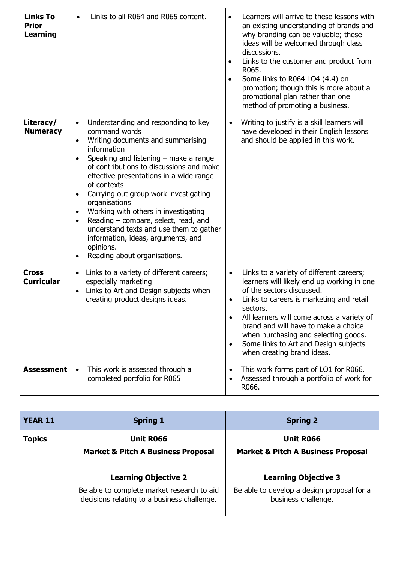| <b>Links To</b><br><b>Prior</b><br>Learning | Links to all R064 and R065 content.                                                                                                                                                                                                                                                                                                                                                                                                                                                                                                                                                                             | Learners will arrive to these lessons with<br>an existing understanding of brands and<br>why branding can be valuable; these<br>ideas will be welcomed through class<br>discussions.<br>Links to the customer and product from<br>٠<br>R065.<br>Some links to R064 LO4 (4.4) on<br>$\bullet$<br>promotion; though this is more about a<br>promotional plan rather than one<br>method of promoting a business.                        |
|---------------------------------------------|-----------------------------------------------------------------------------------------------------------------------------------------------------------------------------------------------------------------------------------------------------------------------------------------------------------------------------------------------------------------------------------------------------------------------------------------------------------------------------------------------------------------------------------------------------------------------------------------------------------------|--------------------------------------------------------------------------------------------------------------------------------------------------------------------------------------------------------------------------------------------------------------------------------------------------------------------------------------------------------------------------------------------------------------------------------------|
| Literacy/<br><b>Numeracy</b>                | Understanding and responding to key<br>$\bullet$<br>command words<br>Writing documents and summarising<br>$\bullet$<br>information<br>Speaking and listening $-$ make a range<br>$\bullet$<br>of contributions to discussions and make<br>effective presentations in a wide range<br>of contexts<br>Carrying out group work investigating<br>$\bullet$<br>organisations<br>Working with others in investigating<br>$\bullet$<br>Reading - compare, select, read, and<br>$\bullet$<br>understand texts and use them to gather<br>information, ideas, arguments, and<br>opinions.<br>Reading about organisations. | Writing to justify is a skill learners will<br>$\bullet$<br>have developed in their English lessons<br>and should be applied in this work.                                                                                                                                                                                                                                                                                           |
| <b>Cross</b><br><b>Curricular</b>           | Links to a variety of different careers;<br>especially marketing<br>Links to Art and Design subjects when<br>$\bullet$<br>creating product designs ideas.                                                                                                                                                                                                                                                                                                                                                                                                                                                       | Links to a variety of different careers;<br>$\bullet$<br>learners will likely end up working in one<br>of the sectors discussed.<br>Links to careers is marketing and retail<br>$\bullet$<br>sectors.<br>All learners will come across a variety of<br>$\bullet$<br>brand and will have to make a choice<br>when purchasing and selecting goods.<br>Some links to Art and Design subjects<br>$\bullet$<br>when creating brand ideas. |
| <b>Assessment</b>                           | This work is assessed through a<br>completed portfolio for R065                                                                                                                                                                                                                                                                                                                                                                                                                                                                                                                                                 | This work forms part of LO1 for R066.<br>$\bullet$<br>Assessed through a portfolio of work for<br>R066.                                                                                                                                                                                                                                                                                                                              |

| <b>YEAR 11</b> | <b>Spring 1</b>                                                                           | <b>Spring 2</b>                                                   |
|----------------|-------------------------------------------------------------------------------------------|-------------------------------------------------------------------|
| <b>Topics</b>  | Unit R066                                                                                 | <b>Unit R066</b>                                                  |
|                | <b>Market &amp; Pitch A Business Proposal</b>                                             | <b>Market &amp; Pitch A Business Proposal</b>                     |
|                | <b>Learning Objective 2</b>                                                               | <b>Learning Objective 3</b>                                       |
|                | Be able to complete market research to aid<br>decisions relating to a business challenge. | Be able to develop a design proposal for a<br>business challenge. |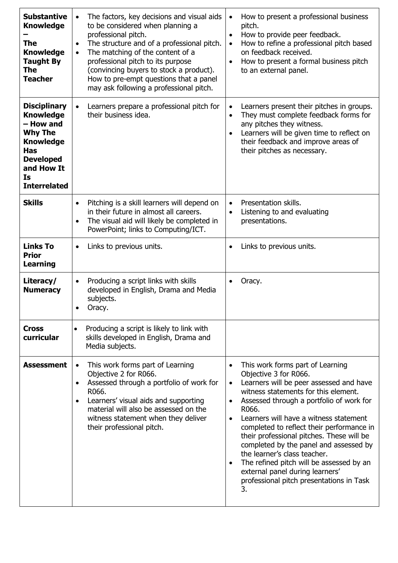| <b>Substantive</b><br><b>Knowledge</b><br>The<br><b>Knowledge</b><br><b>Taught By</b><br><b>The</b><br><b>Teacher</b>                                                   | The factors, key decisions and visual aids<br>$\bullet$<br>to be considered when planning a<br>professional pitch.<br>The structure and of a professional pitch.<br>$\bullet$<br>The matching of the content of a<br>$\bullet$<br>professional pitch to its purpose<br>(convincing buyers to stock a product).<br>How to pre-empt questions that a panel<br>may ask following a professional pitch. | How to present a professional business<br>$\bullet$<br>pitch.<br>How to provide peer feedback.<br>$\bullet$<br>How to refine a professional pitch based<br>$\bullet$<br>on feedback received.<br>How to present a formal business pitch<br>$\bullet$<br>to an external panel.                                                                                                                                                                                                                                                                                                                                     |
|-------------------------------------------------------------------------------------------------------------------------------------------------------------------------|-----------------------------------------------------------------------------------------------------------------------------------------------------------------------------------------------------------------------------------------------------------------------------------------------------------------------------------------------------------------------------------------------------|-------------------------------------------------------------------------------------------------------------------------------------------------------------------------------------------------------------------------------------------------------------------------------------------------------------------------------------------------------------------------------------------------------------------------------------------------------------------------------------------------------------------------------------------------------------------------------------------------------------------|
| <b>Disciplinary</b><br><b>Knowledge</b><br>- How and<br><b>Why The</b><br><b>Knowledge</b><br><b>Has</b><br><b>Developed</b><br>and How It<br>Is<br><b>Interrelated</b> | Learners prepare a professional pitch for<br>$\bullet$<br>their business idea.                                                                                                                                                                                                                                                                                                                      | Learners present their pitches in groups.<br>$\bullet$<br>They must complete feedback forms for<br>$\bullet$<br>any pitches they witness.<br>Learners will be given time to reflect on<br>$\bullet$<br>their feedback and improve areas of<br>their pitches as necessary.                                                                                                                                                                                                                                                                                                                                         |
| <b>Skills</b>                                                                                                                                                           | Pitching is a skill learners will depend on<br>$\bullet$<br>in their future in almost all careers.<br>The visual aid will likely be completed in<br>$\bullet$<br>PowerPoint; links to Computing/ICT.                                                                                                                                                                                                | Presentation skills.<br>$\bullet$<br>Listening to and evaluating<br>$\bullet$<br>presentations.                                                                                                                                                                                                                                                                                                                                                                                                                                                                                                                   |
| <b>Links To</b><br><b>Prior</b><br><b>Learning</b>                                                                                                                      | Links to previous units.<br>$\bullet$                                                                                                                                                                                                                                                                                                                                                               | Links to previous units.                                                                                                                                                                                                                                                                                                                                                                                                                                                                                                                                                                                          |
| Literacy/<br><b>Numeracy</b>                                                                                                                                            | Producing a script links with skills<br>$\bullet$<br>developed in English, Drama and Media<br>subjects.<br>Oracy.<br>٠                                                                                                                                                                                                                                                                              | Oracy.                                                                                                                                                                                                                                                                                                                                                                                                                                                                                                                                                                                                            |
| <b>Cross</b><br>curricular                                                                                                                                              | Producing a script is likely to link with<br>$\bullet$<br>skills developed in English, Drama and<br>Media subjects.                                                                                                                                                                                                                                                                                 |                                                                                                                                                                                                                                                                                                                                                                                                                                                                                                                                                                                                                   |
| <b>Assessment</b>                                                                                                                                                       | This work forms part of Learning<br>$\bullet$<br>Objective 2 for R066.<br>Assessed through a portfolio of work for<br>$\bullet$<br>R066.<br>Learners' visual aids and supporting<br>$\bullet$<br>material will also be assessed on the<br>witness statement when they deliver<br>their professional pitch.                                                                                          | This work forms part of Learning<br>$\bullet$<br>Objective 3 for R066.<br>Learners will be peer assessed and have<br>$\bullet$<br>witness statements for this element.<br>Assessed through a portfolio of work for<br>$\bullet$<br>R066.<br>Learners will have a witness statement<br>$\bullet$<br>completed to reflect their performance in<br>their professional pitches. These will be<br>completed by the panel and assessed by<br>the learner's class teacher.<br>The refined pitch will be assessed by an<br>$\bullet$<br>external panel during learners'<br>professional pitch presentations in Task<br>3. |